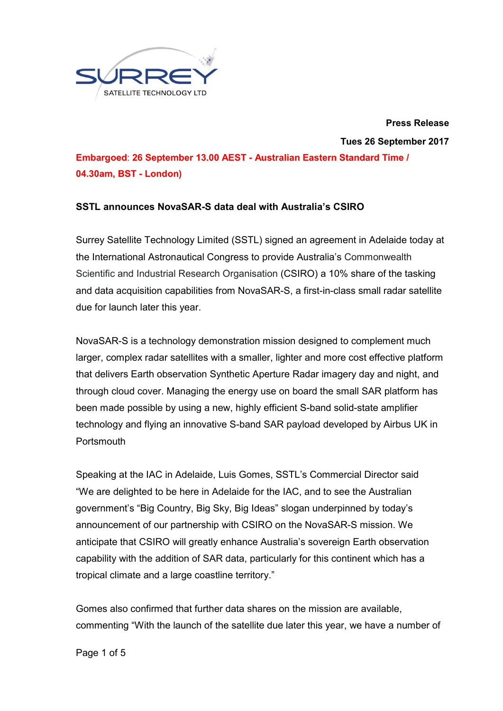

**Press Release**

**Tues 26 September 2017**

**Embargoed**: **26 September 13.00 AEST - Australian Eastern Standard Time / 04.30am, BST - London)**

# **SSTL announces NovaSAR-S data deal with Australia's CSIRO**

Surrey Satellite Technology Limited (SSTL) signed an agreement in Adelaide today at the International Astronautical Congress to provide Australia's Commonwealth Scientific and Industrial Research Organisation (CSIRO) a 10% share of the tasking and data acquisition capabilities from NovaSAR-S, a first-in-class small radar satellite due for launch later this year.

NovaSAR-S is a technology demonstration mission designed to complement much larger, complex radar satellites with a smaller, lighter and more cost effective platform that delivers Earth observation Synthetic Aperture Radar imagery day and night, and through cloud cover. Managing the energy use on board the small SAR platform has been made possible by using a new, highly efficient S-band solid-state amplifier technology and flying an innovative S-band SAR payload developed by Airbus UK in **Portsmouth** 

Speaking at the IAC in Adelaide, Luis Gomes, SSTL's Commercial Director said "We are delighted to be here in Adelaide for the IAC, and to see the Australian government's "Big Country, Big Sky, Big Ideas" slogan underpinned by today's announcement of our partnership with CSIRO on the NovaSAR-S mission. We anticipate that CSIRO will greatly enhance Australia's sovereign Earth observation capability with the addition of SAR data, particularly for this continent which has a tropical climate and a large coastline territory."

Gomes also confirmed that further data shares on the mission are available, commenting "With the launch of the satellite due later this year, we have a number of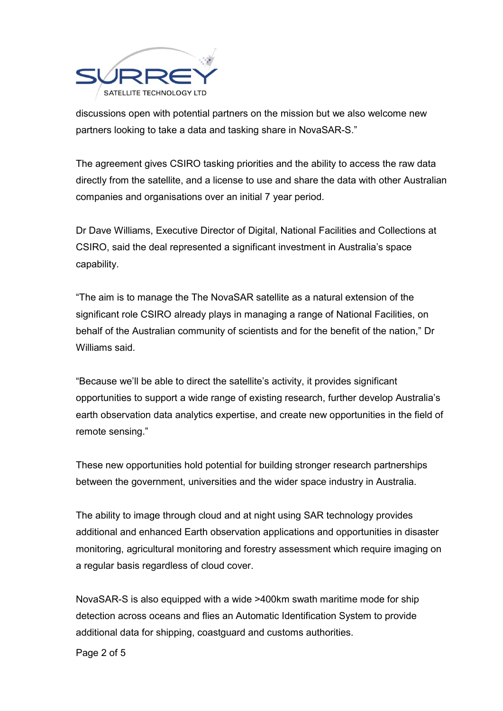

discussions open with potential partners on the mission but we also welcome new partners looking to take a data and tasking share in NovaSAR-S."

The agreement gives CSIRO tasking priorities and the ability to access the raw data directly from the satellite, and a license to use and share the data with other Australian companies and organisations over an initial 7 year period.

Dr Dave Williams, Executive Director of Digital, National Facilities and Collections at CSIRO, said the deal represented a significant investment in Australia's space capability.

"The aim is to manage the The NovaSAR satellite as a natural extension of the significant role CSIRO already plays in managing a range of National Facilities, on behalf of the Australian community of scientists and for the benefit of the nation," Dr Williams said.

"Because we'll be able to direct the satellite's activity, it provides significant opportunities to support a wide range of existing research, further develop Australia's earth observation data analytics expertise, and create new opportunities in the field of remote sensing."

These new opportunities hold potential for building stronger research partnerships between the government, universities and the wider space industry in Australia.

The ability to image through cloud and at night using SAR technology provides additional and enhanced Earth observation applications and opportunities in disaster monitoring, agricultural monitoring and forestry assessment which require imaging on a regular basis regardless of cloud cover.

NovaSAR-S is also equipped with a wide >400km swath maritime mode for ship detection across oceans and flies an Automatic Identification System to provide additional data for shipping, coastguard and customs authorities.

Page 2 of 5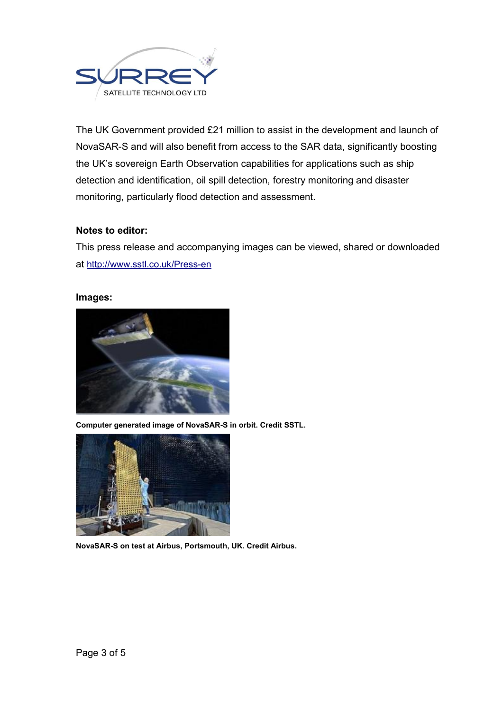

The UK Government provided £21 million to assist in the development and launch of NovaSAR-S and will also benefit from access to the SAR data, significantly boosting the UK's sovereign Earth Observation capabilities for applications such as ship detection and identification, oil spill detection, forestry monitoring and disaster monitoring, particularly flood detection and assessment.

## **Notes to editor:**

This press release and accompanying images can be viewed, shared or downloaded at http://www.sstl.co.uk/Press-en

### **Images:**



**Computer generated image of NovaSAR-S in orbit. Credit SSTL.**



**NovaSAR-S on test at Airbus, Portsmouth, UK. Credit Airbus.**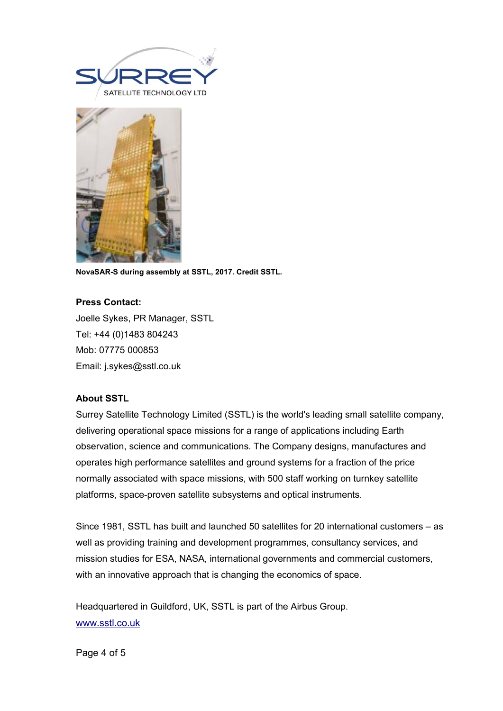



**NovaSAR-S during assembly at SSTL, 2017. Credit SSTL.** 

## **Press Contact:**

Joelle Sykes, PR Manager, SSTL Tel: +44 (0)1483 804243 Mob: 07775 000853 Email: j.sykes@sstl.co.uk

### **About SSTL**

Surrey Satellite Technology Limited (SSTL) is the world's leading small satellite company, delivering operational space missions for a range of applications including Earth observation, science and communications. The Company designs, manufactures and operates high performance satellites and ground systems for a fraction of the price normally associated with space missions, with 500 staff working on turnkey satellite platforms, space-proven satellite subsystems and optical instruments.

Since 1981, SSTL has built and launched 50 satellites for 20 international customers – as well as providing training and development programmes, consultancy services, and mission studies for ESA, NASA, international governments and commercial customers, with an innovative approach that is changing the economics of space.

Headquartered in Guildford, UK, SSTL is part of the Airbus Group. www.sstl.co.uk

Page 4 of 5